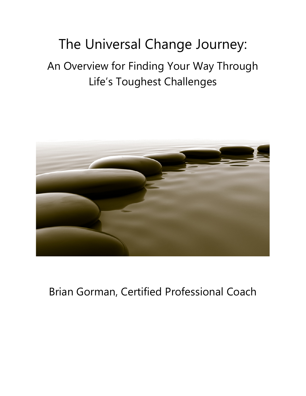# The Universal Change Journey: An Overview for Finding Your Way Through Life's Toughest Challenges



## Brian Gorman, Certified Professional Coach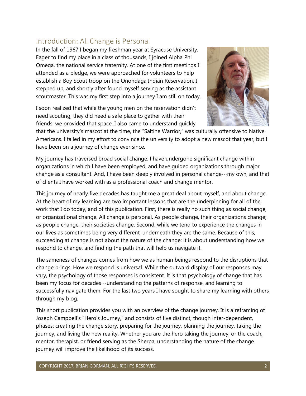## Introduction: All Change is Personal

In the fall of 1967 I began my freshman year at Syracuse University. Eager to find my place in a class of thousands, I joined Alpha Phi Omega, the national service fraternity. At one of the first meetings I attended as a pledge, we were approached for volunteers to help establish a Boy Scout troop on the Onondaga Indian Reservation. I stepped up, and shortly after found myself serving as the assistant scoutmaster. This was my first step into a journey I am still on today.

I soon realized that while the young men on the reservation didn't need scouting, they did need a safe place to gather with their friends; we provided that space. I also came to understand quickly



that the university's mascot at the time, the "Saltine Warrior," was culturally offensive to Native Americans. I failed in my effort to convince the university to adopt a new mascot that year, but I have been on a journey of change ever since.

My journey has traversed broad social change. I have undergone significant change within organizations in which I have been employed, and have guided organizations through major change as a consultant. And, I have been deeply involved in personal change…my own, and that of clients I have worked with as a professional coach and change mentor.

This journey of nearly five decades has taught me a great deal about myself, and about change. At the heart of my learning are two important lessons that are the underpinning for all of the work that I do today, and of this publication. First, there is really no such thing as social change, or organizational change. All change is personal. As people change, their organizations change; as people change, their societies change. Second, while we tend to experience the changes in our lives as sometimes being very different, underneath they are the same. Because of this, succeeding at change is not about the nature of the change; it is about understanding how we respond to change, and finding the path that will help us navigate it.

The sameness of changes comes from how we as human beings respond to the disruptions that change brings. How we respond is universal. While the outward display of our responses may vary, the psychology of those responses is consistent. It is that psychology of change that has been my focus for decades…understanding the patterns of response, and learning to successfully navigate them. For the last two years I have sought to share my learning with others through my blog.

This short publication provides you with an overview of the change journey. It is a reframing of Joseph Campbell's "Hero's Journey," and consists of five distinct, though inter-dependent, phases: creating the change story, preparing for the journey, planning the journey, taking the journey, and living the new reality. Whether you are the hero taking the journey, or the coach, mentor, therapist, or friend serving as the Sherpa, understanding the nature of the change journey will improve the likelihood of its success.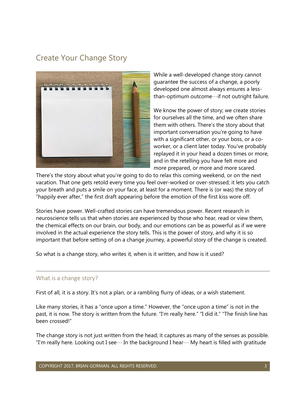## Create Your Change Story



While a well-developed change story cannot guarantee the success of a change, a poorly developed one almost always ensures a lessthan-optimum outcome…if not outright failure.

We know the power of story; we create stories for ourselves all the time, and we often share them with others. There's the story about that important conversation you're going to have with a significant other, or your boss, or a coworker, or a client later today. You've probably replayed it in your head a dozen times or more, and in the retelling you have felt more and more prepared, or more and more scared.

There's the story about what you're going to do to relax this coming weekend, or on the next vacation. That one gets retold every time you feel over-worked or over-stressed; it lets you catch your breath and puts a smile on your face, at least for a moment. There is (or was) the story of "happily ever after," the first draft appearing before the emotion of the first kiss wore off.

Stories have power. Well-crafted stories can have tremendous power. Recent research in neuroscience tells us that when stories are experienced by those who hear, read or view them, the chemical effects on our brain, our body, and our emotions can be as powerful as if we were involved in the actual experience the story tells. This is the power of story, and why it is so important that before setting of on a change journey, a powerful story of the change is created.

So what is a change story, who writes it, when is it written, and how is it used?

#### What is a change story?

First of all, it is a story. It's not a plan, or a rambling flurry of ideas, or a wish statement.

Like many stories, it has a "once upon a time." However, the "once upon a time" is not in the past, it is now. The story is written from the future. "I'm really here." "I did it." "The finish line has been crossed!"

The change story is not just written from the head; it captures as many of the senses as possible. "I'm really here. Looking out I see $\cdots$  In the background I hear $\cdots$  My heart is filled with gratitude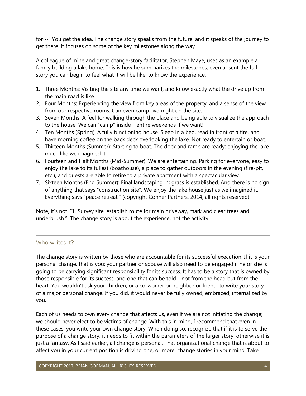for…" You get the idea. The change story speaks from the future, and it speaks of the journey to get there. It focuses on some of the key milestones along the way.

A colleague of mine and great change-story facilitator, Stephen Maye, uses as an example a family building a lake home. This is how he summarizes the milestones; even absent the full story you can begin to feel what it will be like, to know the experience.

- 1. Three Months: Visiting the site any time we want, and know exactly what the drive up from the main road is like.
- 2. Four Months: Experiencing the view from key areas of the property, and a sense of the view from our respective rooms. Can even camp overnight on the site.
- 3. Seven Months: A feel for walking through the place and being able to visualize the approach to the house. We can "camp" inside—entire weekends if we want!
- 4. Ten Months (Spring): A fully functioning house. Sleep in a bed, read in front of a fire, and have morning coffee on the back deck overlooking the lake. Not ready to entertain or boat.
- 5. Thirteen Months (Summer): Starting to boat. The dock and ramp are ready; enjoying the lake much like we imagined it.
- 6. Fourteen and Half Months (Mid-Summer): We are entertaining. Parking for everyone, easy to enjoy the lake to its fullest (boathouse), a place to gather outdoors in the evening (fire-pit, etc.), and guests are able to retire to a private apartment with a spectacular view.
- 7. Sixteen Months (End Summer): Final landscaping in; grass is established. And there is no sign of anything that says "construction site". We enjoy the lake house just as we imagined it. Everything says "peace retreat," (copyright Conner Partners, 2014, all rights reserved).

Note, it's not: "1. Survey site, establish route for main driveway, mark and clear trees and underbrush." The change story is about the experience, not the activity!

#### Who writes it?

The change story is written by those who are accountable for its successful execution. If it is your personal change, that is you; your partner or spouse will also need to be engaged if he or she is going to be carrying significant responsibility for its success. It has to be a story that is owned by those responsible for its success, and one that can be told…not from the head but from the heart. You wouldn't ask your children, or a co-worker or neighbor or friend, to write your story of a major personal change. If you did, it would never be fully owned, embraced, internalized by you.

Each of us needs to own every change that affects us, even if we are not initiating the change; we should never elect to be victims of change. With this in mind, I recommend that even in these cases, you write your own change story. When doing so, recognize that if it is to serve the purpose of a change story, it needs to fit within the parameters of the larger story, otherwise it is just a fantasy. As I said earlier, all change is personal. That organizational change that is about to affect you in your current position is driving one, or more, change stories in your mind. Take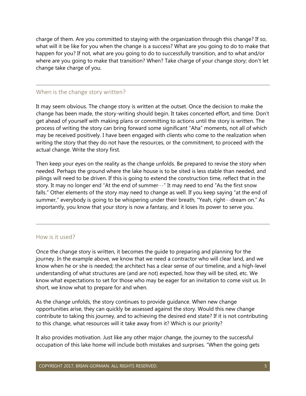charge of them. Are you committed to staying with the organization through this change? If so, what will it be like for you when the change is a success? What are you going to do to make that happen for you? If not, what are you going to do to successfully transition, and to what and/or where are you going to make that transition? When? Take charge of your change story; don't let change take charge of you.

#### When is the change story written?

It may seem obvious. The change story is written at the outset. Once the decision to make the change has been made, the story-writing should begin. It takes concerted effort, and time. Don't get ahead of yourself with making plans or committing to actions until the story is written. The process of writing the story can bring forward some significant "Aha" moments, not all of which may be received positively. I have been engaged with clients who come to the realization when writing the story that they do not have the resources, or the commitment, to proceed with the actual change. Write the story first.

Then keep your eyes on the reality as the change unfolds. Be prepared to revise the story when needed. Perhaps the ground where the lake house is to be sited is less stable than needed, and pilings will need to be driven. If this is going to extend the construction time, reflect that in the story. It may no longer end "At the end of summer…" It may need to end "As the first snow falls." Other elements of the story may need to change as well. If you keep saying "at the end of summer," everybody is going to be whispering under their breath, "Yeah, right…dream on." As importantly, you know that your story is now a fantasy, and it loses its power to serve you.

#### How is it used?

Once the change story is written, it becomes the guide to preparing and planning for the journey. In the example above, we know that we need a contractor who will clear land, and we know when he or she is needed; the architect has a clear sense of our timeline, and a high-level understanding of what structures are (and are not) expected, how they will be sited, etc. We know what expectations to set for those who may be eager for an invitation to come visit us. In short, we know what to prepare for and when.

As the change unfolds, the story continues to provide guidance. When new change opportunities arise, they can quickly be assessed against the story. Would this new change contribute to taking this journey, and to achieving the desired end state? If it is not contributing to this change, what resources will it take away from it? Which is our priority?

It also provides motivation. Just like any other major change, the journey to the successful occupation of this lake home will include both mistakes and surprises. "When the going gets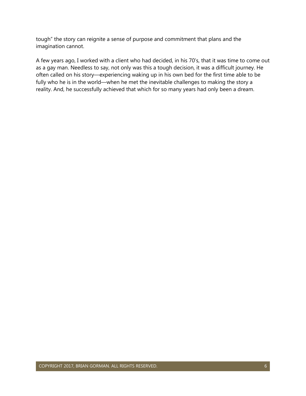tough" the story can reignite a sense of purpose and commitment that plans and the imagination cannot.

A few years ago, I worked with a client who had decided, in his 70's, that it was time to come out as a gay man. Needless to say, not only was this a tough decision, it was a difficult journey. He often called on his story—experiencing waking up in his own bed for the first time able to be fully who he is in the world—when he met the inevitable challenges to making the story a reality. And, he successfully achieved that which for so many years had only been a dream.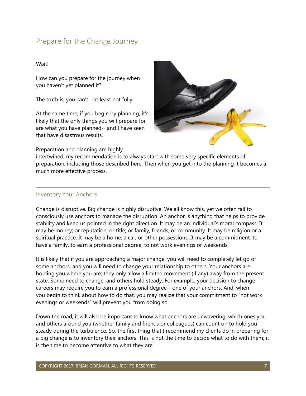## Prepare for the Change Journey

#### Wait!

How can you prepare for the journey when you haven't yet planned it?

The truth is, you can't…at least not fully.

At the same time, if you begin by planning, it's likely that the only things you will prepare for are what you have planned…and I have seen that have disastrous results.



Preparation and planning are highly

intertwined; my recommendation is to always start with some very specific elements of preparation, including those described here. Then when you get into the planning it becomes a much more effective process.

#### Inventory Your Anchors

Change is disruptive. Big change is highly disruptive. We all know this, yet we often fail to consciously use anchors to manage the disruption. An anchor is anything that helps to provide stability and keep us pointed in the right direction. It may be an individual's moral compass. It may be money; or reputation; or title; or family, friends, or community. It may be religion or a spiritual practice. It may be a home, a car, or other possessions. It may be a commitment: to have a family, to earn a professional degree, to not work evenings or weekends.

It is likely that if you are approaching a major change, you will need to completely let go of some anchors, and you will need to change your relationship to others. Your anchors are holding you where you are; they only allow a limited movement (if any) away from the present state. Some need to change, and others hold steady. For example, your decision to change careers may require you to earn a professional degree…one of your anchors. And, when you begin to think about how to do that, you may realize that your commitment to "not work evenings or weekends" will prevent you from doing so.

Down the road, it will also be important to know what anchors are unwavering; which ones you and others around you (whether family and friends or colleagues) can count on to hold you steady during the turbulence. So, the first thing that I recommend my clients do in preparing for a big change is to inventory their anchors. This is not the time to decide what to do with them; it is the time to become attentive to what they are.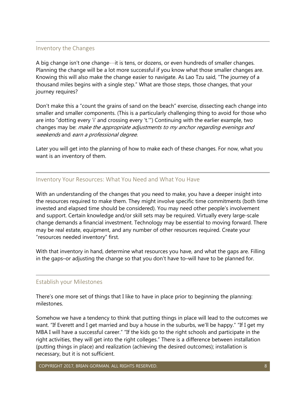#### Inventory the Changes

A big change isn't one change…it is tens, or dozens, or even hundreds of smaller changes. Planning the change will be a lot more successful if you know what those smaller changes are. Knowing this will also make the change easier to navigate. As Lao Tzu said, "The journey of a thousand miles begins with a single step." What are those steps, those changes, that your journey requires?

Don't make this a "count the grains of sand on the beach" exercise, dissecting each change into smaller and smaller components. (This is a particularly challenging thing to avoid for those who are into "dotting every 'i' and crossing every 't.'") Continuing with the earlier example, two changes may be: make the appropriate adjustments to my anchor regarding evenings and weekends and earn a professional degree.

Later you will get into the planning of how to make each of these changes. For now, what you want is an inventory of them.

#### Inventory Your Resources: What You Need and What You Have

With an understanding of the changes that you need to make, you have a deeper insight into the resources required to make them. They might involve specific time commitments (both time invested and elapsed time should be considered). You may need other people's involvement and support. Certain knowledge and/or skill sets may be required. Virtually every large-scale change demands a financial investment. Technology may be essential to moving forward. There may be real estate, equipment, and any number of other resources required. Create your "resources needed inventory" first.

With that inventory in hand, determine what resources you have, and what the gaps are. Filling in the gaps–or adjusting the change so that you don't have to–will have to be planned for.

#### Establish your Milestones

There's one more set of things that I like to have in place prior to beginning the planning: milestones.

Somehow we have a tendency to think that putting things in place will lead to the outcomes we want. "If Everett and I get married and buy a house in the suburbs, we'll be happy." "If I get my MBA I will have a successful career." "If the kids go to the right schools and participate in the right activities, they will get into the right colleges." There is a difference between installation (putting things in place) and realization (achieving the desired outcomes); installation is necessary, but it is not sufficient.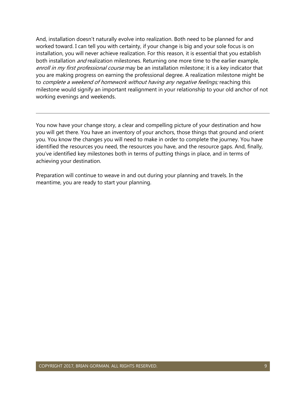And, installation doesn't naturally evolve into realization. Both need to be planned for and worked toward. I can tell you with certainty, if your change is big and your sole focus is on installation, you will never achieve realization. For this reason, it is essential that you establish both installation *and* realization milestones. Returning one more time to the earlier example, enroll in my first professional course may be an installation milestone; it is a key indicator that you are making progress on earning the professional degree. A realization milestone might be to complete a weekend of homework without having any negative feelings; reaching this milestone would signify an important realignment in your relationship to your old anchor of not working evenings and weekends.

You now have your change story, a clear and compelling picture of your destination and how you will get there. You have an inventory of your anchors, those things that ground and orient you. You know the changes you will need to make in order to complete the journey. You have identified the resources you need, the resources you have, and the resource gaps. And, finally, you've identified key milestones both in terms of putting things in place, and in terms of achieving your destination.

Preparation will continue to weave in and out during your planning and travels. In the meantime, you are ready to start your planning.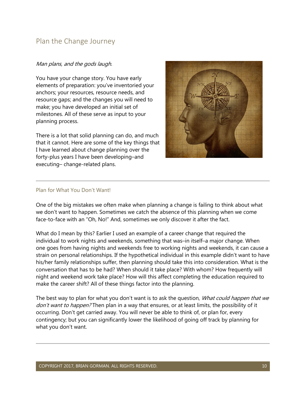## Plan the Change Journey

#### Man plans, and the gods laugh.

You have your change story. You have early elements of preparation: you've inventoried your anchors; your resources, resource needs, and resource gaps; and the changes you will need to make; you have developed an initial set of milestones. All of these serve as input to your planning process.

There is a lot that solid planning can do, and much that it cannot. Here are some of the key things that I have learned about change planning over the forty-plus years I have been developing–and executing– change-related plans.



#### Plan for What You Don't Want!

One of the big mistakes we often make when planning a change is failing to think about what we don't want to happen. Sometimes we catch the absence of this planning when we come face-to-face with an "Oh, No!" And, sometimes we only discover it after the fact.

What do I mean by this? Earlier I used an example of a career change that required the individual to work nights and weekends, something that was–in itself–a major change. When one goes from having nights and weekends free to working nights and weekends, it can cause a strain on personal relationships. If the hypothetical individual in this example didn't want to have his/her family relationships suffer, then planning should take this into consideration. What is the conversation that has to be had? When should it take place? With whom? How frequently will night and weekend work take place? How will this affect completing the education required to make the career shift? All of these things factor into the planning.

The best way to plan for what you don't want is to ask the question, *What could happen that we* don't want to happen? Then plan in a way that ensures, or at least limits, the possibility of it occurring. Don't get carried away. You will never be able to think of, or plan for, every contingency; but you can significantly lower the likelihood of going off track by planning for what you don't want.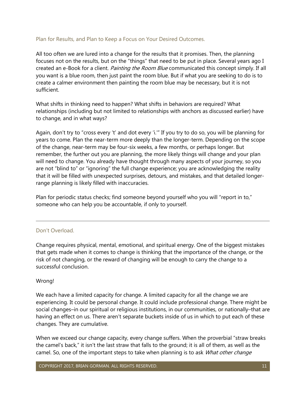#### Plan for Results, and Plan to Keep a Focus on Your Desired Outcomes.

All too often we are lured into a change for the results that it promises. Then, the planning focuses not on the results, but on the "things" that need to be put in place. Several years ago I created an e-Book for a client. Painting the Room Blue communicated this concept simply. If all you want is a blue room, then just paint the room blue. But if what you are seeking to do is to create a calmer environment then painting the room blue may be necessary, but it is not sufficient.

What shifts in thinking need to happen? What shifts in behaviors are required? What relationships (including but not limited to relationships with anchors as discussed earlier) have to change, and in what ways?

Again, don't try to "cross every 't' and dot every 'i.'" If you try to do so, you will be planning for years to come. Plan the near-term more deeply than the longer-term. Depending on the scope of the change, near-term may be four-six weeks, a few months, or perhaps longer. But remember, the further out you are planning, the more likely things will change and your plan will need to change. You already have thought through many aspects of your journey, so you are not "blind to" or "ignoring" the full change experience; you are acknowledging the reality that it will be filled with unexpected surprises, detours, and mistakes, and that detailed longerrange planning is likely filled with inaccuracies.

Plan for periodic status checks; find someone beyond yourself who you will "report in to," someone who can help you be accountable, if only to yourself.

#### Don't Overload.

Change requires physical, mental, emotional, and spiritual energy. One of the biggest mistakes that gets made when it comes to change is thinking that the importance of the change, or the risk of not changing, or the reward of changing will be enough to carry the change to a successful conclusion.

#### Wrong!

We each have a limited capacity for change. A limited capacity for all the change we are experiencing. It could be personal change. It could include professional change. There might be social changes–in our spiritual or religious institutions, in our communities, or nationally–that are having an effect on us. There aren't separate buckets inside of us in which to put each of these changes. They are cumulative.

When we exceed our change capacity, every change suffers. When the proverbial "straw breaks the camel's back," it isn't the last straw that falls to the ground; it is all of them, as well as the camel. So, one of the important steps to take when planning is to ask *What other change* 

COPYRIGHT 2017, BRIAN GORMAN. ALL RIGHTS RESERVED. 11 11 12 12 13 14 15 16 17 18 17 18 18 19 19 19 11 11 11 11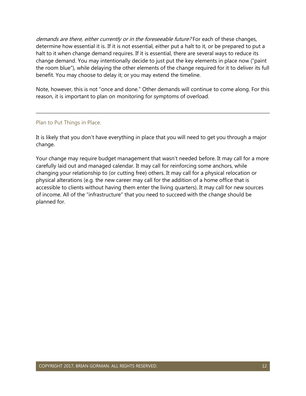demands are there, either currently or in the foreseeable future? For each of these changes, determine how essential it is. If it is not essential, either put a halt to it, or be prepared to put a halt to it when change demand requires. If it is essential, there are several ways to reduce its change demand. You may intentionally decide to just put the key elements in place now ("paint the room blue"), while delaying the other elements of the change required for it to deliver its full benefit. You may choose to delay it; or you may extend the timeline.

Note, however, this is not "once and done." Other demands will continue to come along. For this reason, it is important to plan on monitoring for symptoms of overload.

#### Plan to Put Things in Place.

It is likely that you don't have everything in place that you will need to get you through a major change.

Your change may require budget management that wasn't needed before. It may call for a more carefully laid out and managed calendar. It may call for reinforcing some anchors, while changing your relationship to (or cutting free) others. It may call for a physical relocation or physical alterations (e.g. the new career may call for the addition of a home office that is accessible to clients without having them enter the living quarters). It may call for new sources of income. All of the "infrastructure" that you need to succeed with the change should be planned for.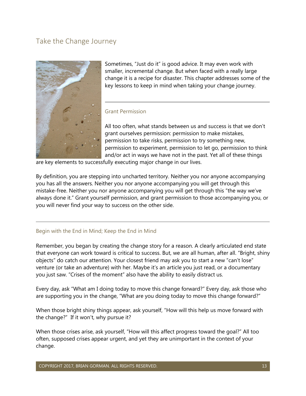## Take the Change Journey



Sometimes, "Just do it" is good advice. It may even work with smaller, incremental change. But when faced with a really large change it is a recipe for disaster. This chapter addresses some of the key lessons to keep in mind when taking your change journey.

#### Grant Permission

All too often, what stands between us and success is that we don't grant ourselves permission: permission to make mistakes, permission to take risks, permission to try something new, permission to experiment, permission to let go, permission to think and/or act in ways we have not in the past. Yet all of these things

are key elements to successfully executing major change in our lives.

By definition, you are stepping into uncharted territory. Neither you nor anyone accompanying you has all the answers. Neither you nor anyone accompanying you will get through this mistake-free. Neither you nor anyone accompanying you will get through this "the way we've always done it." Grant yourself permission, and grant permission to those accompanying you, or you will never find your way to success on the other side.

#### Begin with the End in Mind; Keep the End in Mind

Remember, you began by creating the change story for a reason. A clearly articulated end state that everyone can work toward is critical to success. But, we are all human, after all. "Bright, shiny objects" do catch our attention. Your closest friend may ask you to start a new "can't lose" venture (or take an adventure) with her. Maybe it's an article you just read, or a documentary you just saw. "Crises of the moment" also have the ability to easily distract us.

Every day, ask "What am I doing today to move this change forward?" Every day, ask those who are supporting you in the change, "What are you doing today to move this change forward?"

When those bright shiny things appear, ask yourself, "How will this help us move forward with the change?" If it won't, why pursue it?

When those crises arise, ask yourself, "How will this affect progress toward the goal?" All too often, supposed crises appear urgent, and yet they are unimportant in the context of your change.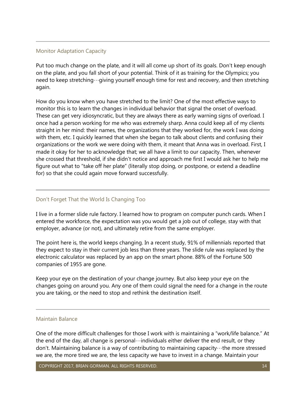#### Monitor Adaptation Capacity

Put too much change on the plate, and it will all come up short of its goals. Don't keep enough on the plate, and you fall short of your potential. Think of it as training for the Olympics; you need to keep stretching…giving yourself enough time for rest and recovery, and then stretching again.

How do you know when you have stretched to the limit? One of the most effective ways to monitor this is to learn the changes in individual behavior that signal the onset of overload. These can get very idiosyncratic, but they are always there as early warning signs of overload. I once had a person working for me who was extremely sharp. Anna could keep all of my clients straight in her mind: their names, the organizations that they worked for, the work I was doing with them, etc. I quickly learned that when she began to talk about clients and confusing their organizations or the work we were doing with them, it meant that Anna was in overload. First, I made it okay for her to acknowledge that; we all have a limit to our capacity. Then, whenever she crossed that threshold, if she didn't notice and approach me first I would ask her to help me figure out what to "take off her plate" (literally stop doing, or postpone, or extend a deadline for) so that she could again move forward successfully.

#### Don't Forget That the World Is Changing Too

I live in a former slide rule factory. I learned how to program on computer punch cards. When I entered the workforce, the expectation was you would get a job out of college, stay with that employer, advance (or not), and ultimately retire from the same employer.

The point here is, the world keeps changing. In a recent study, 91% of millennials reported that they expect to stay in their current job less than three years. The slide rule was replaced by the electronic calculator was replaced by an app on the smart phone. 88% of the Fortune 500 companies of 1955 are gone.

Keep your eye on the destination of your change journey. But also keep your eye on the changes going on around you. Any one of them could signal the need for a change in the route you are taking, or the need to stop and rethink the destination itself.

#### Maintain Balance

One of the more difficult challenges for those I work with is maintaining a "work/life balance." At the end of the day, all change is personal…individuals either deliver the end result, or they don't. Maintaining balance is a way of contributing to maintaining capacity…the more stressed we are, the more tired we are, the less capacity we have to invest in a change. Maintain your

COPYRIGHT 2017, BRIAN GORMAN. ALL RIGHTS RESERVED. 14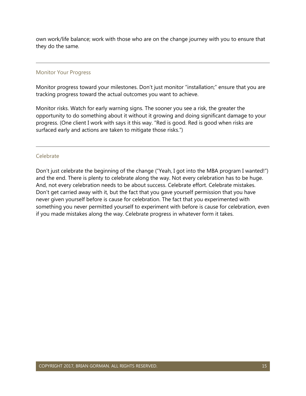own work/life balance; work with those who are on the change journey with you to ensure that they do the same.

#### Monitor Your Progress

Monitor progress toward your milestones. Don't just monitor "installation;" ensure that you are tracking progress toward the actual outcomes you want to achieve.

Monitor risks. Watch for early warning signs. The sooner you see a risk, the greater the opportunity to do something about it without it growing and doing significant damage to your progress. (One client I work with says it this way. "Red is good. Red is good when risks are surfaced early and actions are taken to mitigate those risks.")

#### Celebrate

Don't just celebrate the beginning of the change ("Yeah, I got into the MBA program I wanted!") and the end. There is plenty to celebrate along the way. Not every celebration has to be huge. And, not every celebration needs to be about success. Celebrate effort. Celebrate mistakes. Don't get carried away with it, but the fact that you gave yourself permission that you have never given yourself before is cause for celebration. The fact that you experimented with something you never permitted yourself to experiment with before is cause for celebration, even if you made mistakes along the way. Celebrate progress in whatever form it takes.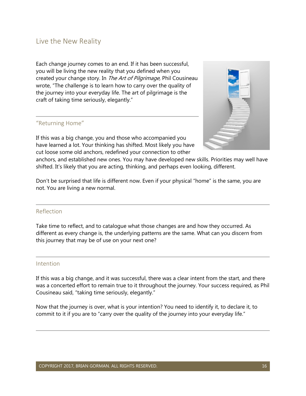### Live the New Reality

Each change journey comes to an end. If it has been successful, you will be living the new reality that you defined when you created your change story. In The Art of Pilgrimage, Phil Cousineau wrote, "The challenge is to learn how to carry over the quality of the journey into your everyday life. The art of pilgrimage is the craft of taking time seriously, elegantly."

#### "Returning Home"

If this was a big change, you and those who accompanied you have learned a lot. Your thinking has shifted. Most likely you have cut loose some old anchors, redefined your connection to other



anchors, and established new ones. You may have developed new skills. Priorities may well have shifted. It's likely that you are acting, thinking, and perhaps even looking, different.

Don't be surprised that life is different now. Even if your physical "home" is the same, you are not. You are living a new normal.

#### Reflection

Take time to reflect, and to catalogue what those changes are and how they occurred. As different as every change is, the underlying patterns are the same. What can you discern from this journey that may be of use on your next one?

#### Intention

If this was a big change, and it was successful, there was a clear intent from the start, and there was a concerted effort to remain true to it throughout the journey. Your success required, as Phil Cousineau said, "taking time seriously, elegantly."

Now that the journey is over, what is your intention? You need to identify it, to declare it, to commit to it if you are to "carry over the quality of the journey into your everyday life."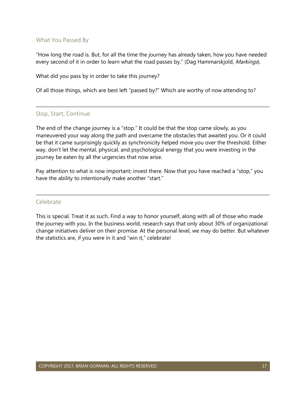#### What You Passed By

"How long the road is. But, for all the time the journey has already taken, how you have needed every second of it in order to learn what the road passes by," (Dag Hammarskjold, Markings).

What did you pass by in order to take this journey?

Of all those things, which are best left "passed by?" Which are worthy of now attending to?

#### Stop, Start, Continue

The end of the change journey is a "stop." It could be that the stop came slowly, as you maneuvered your way along the path and overcame the obstacles that awaited you. Or it could be that it came surprisingly quickly as synchronicity helped move you over the threshold. Either way, don't let the mental, physical, and psychological energy that you were investing in the journey be eaten by all the urgencies that now arise.

Pay attention to what is now important; invest there. Now that you have reached a "stop," you have the ability to intentionally make another "start."

#### Celebrate

This is special. Treat it as such. Find a way to honor yourself, along with all of those who made the journey with you. In the business world, research says that only about 30% of organizational change initiatives deliver on their promise. At the personal level, we may do better. But whatever the statistics are, if you were in it and "win it," celebrate!